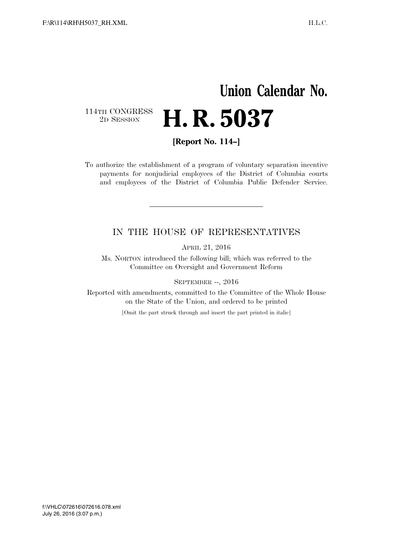## **Union Calendar No.**  114TH CONGRESS<br>2D SESSION 2D SESSION **H. R. 5037**

**[Report No. 114–]** 

To authorize the establishment of a program of voluntary separation incentive payments for nonjudicial employees of the District of Columbia courts and employees of the District of Columbia Public Defender Service.

## IN THE HOUSE OF REPRESENTATIVES

APRIL 21, 2016

Ms. NORTON introduced the following bill; which was referred to the Committee on Oversight and Government Reform

SEPTEMBER --, 2016

Reported with amendments, committed to the Committee of the Whole House on the State of the Union, and ordered to be printed

[Omit the part struck through and insert the part printed in italic]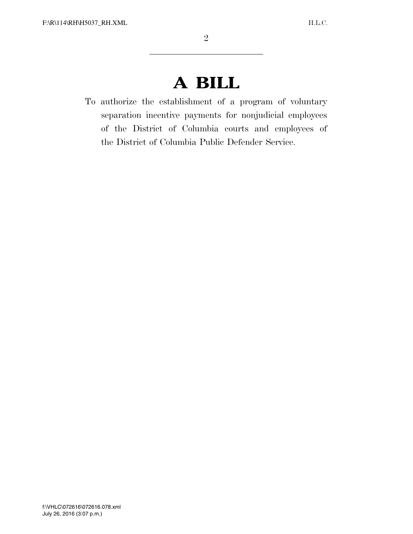## **A BILL**

To authorize the establishment of a program of voluntary separation incentive payments for nonjudicial employees of the District of Columbia courts and employees of the District of Columbia Public Defender Service.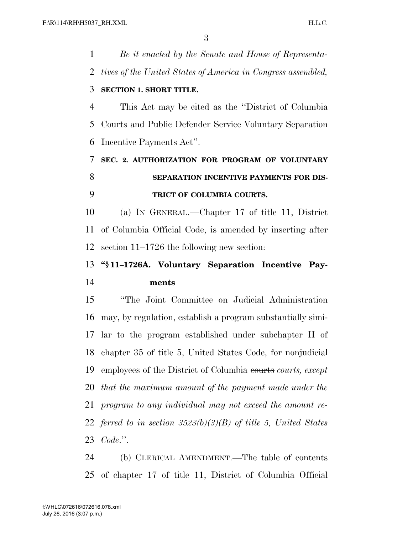*Be it enacted by the Senate and House of Representa- tives of the United States of America in Congress assembled,*  **SECTION 1. SHORT TITLE.**  This Act may be cited as the ''District of Columbia Courts and Public Defender Service Voluntary Separation Incentive Payments Act''. **SEC. 2. AUTHORIZATION FOR PROGRAM OF VOLUNTARY SEPARATION INCENTIVE PAYMENTS FOR DIS- TRICT OF COLUMBIA COURTS.**  (a) IN GENERAL.—Chapter 17 of title 11, District of Columbia Official Code, is amended by inserting after section 11–1726 the following new section: **''§ 11–1726A. Voluntary Separation Incentive Pay- ments**  ''The Joint Committee on Judicial Administration may, by regulation, establish a program substantially simi-

 lar to the program established under subchapter II of chapter 35 of title 5, United States Code, for nonjudicial employees of the District of Columbia courts *courts, except that the maximum amount of the payment made under the program to any individual may not exceed the amount re- ferred to in section 3523(b)(3)(B) of title 5, United States Code*.''.

 (b) CLERICAL AMENDMENT.—The table of contents of chapter 17 of title 11, District of Columbia Official